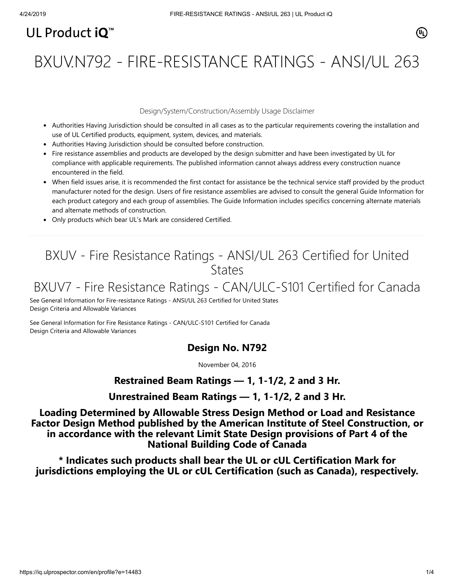# UL Product  $i\mathbf{O}^m$

# BXUV.N792 - FIRE-RESISTANCE RATINGS - ANSI/UL 263

#### Design/System/Construction/Assembly Usage Disclaimer

- Authorities Having Jurisdiction should be consulted in all cases as to the particular requirements covering the installation and use of UL Certified products, equipment, system, devices, and materials.
- Authorities Having Jurisdiction should be consulted before construction.
- Fire resistance assemblies and products are developed by the design submitter and have been investigated by UL for compliance with applicable requirements. The published information cannot always address every construction nuance encountered in the field.
- When field issues arise, it is recommended the first contact for assistance be the technical service staff provided by the product manufacturer noted for the design. Users of fire resistance assemblies are advised to consult the general Guide Information for each product category and each group of assemblies. The Guide Information includes specifics concerning alternate materials and alternate methods of construction.
- Only products which bear UL's Mark are considered Certified.

# BXUV - Fire Resistance Ratings - ANSI/UL 263 Certified for United **States**

# BXUV7 - Fire Resistance Ratings - CAN/ULC-S101 Certified for Canada

[See General Information for Fire-resistance Ratings - ANSI/UL 263 Certified for United States](https://iq.ulprospector.com/cgi-bin/XYV/template/LISEXT/1FRAME/showpage.html?name=BXUV.GuideInfo&ccnshorttitle=Fire-resistance+Ratings+-+ANSI/UL+263&objid=1074327030&cfgid=1073741824&version=versionless&parent_id=1073984818&sequence=1) Design Criteria and Allowable Variances

[See General Information for Fire Resistance Ratings - CAN/ULC-S101 Certified for Canada](https://iq.ulprospector.com/cgi-bin/XYV/template/LISEXT/1FRAME/showpage.html?name=BXUV7.GuideInfo&ccnshorttitle=Fire+Resistance+Ratings+-+CAN/ULC-S101+Certified+for+Canada&objid=1074205658&cfgid=1073741824&version=versionless&parent_id=1073984820&sequence=1) Design Criteria and Allowable Variances

## **Design No. N792**

November 04, 2016

## **Restrained Beam Ratings — 1, 1-1/2, 2 and 3 Hr.**

**Unrestrained Beam Ratings — 1, 1-1/2, 2 and 3 Hr.**

**Loading Determined by Allowable Stress Design Method or Load and Resistance Factor Design Method published by the American Institute of Steel Construction, or in accordance with the relevant Limit State Design provisions of Part 4 of the National Building Code of Canada**

**\* Indicates such products shall bear the UL or cUL Certification Mark for jurisdictions employing the UL or cUL Certification (such as Canada), respectively.**

⁄ඔ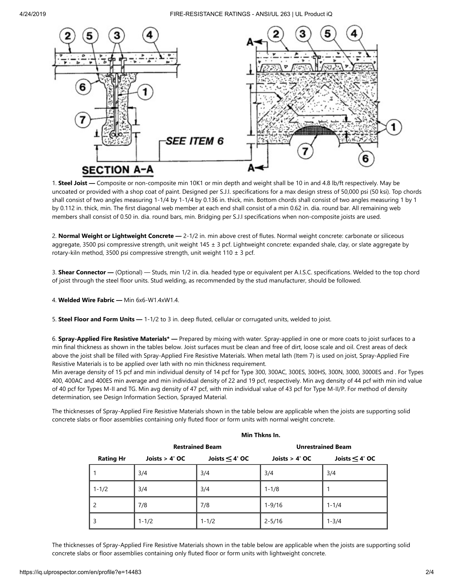4/24/2019 FIRE-RESISTANCE RATINGS - ANSI/UL 263 | UL Product iQ



1. **Steel Joist —** Composite or non-composite min 10K1 or min depth and weight shall be 10 in and 4.8 lb/ft respectively. May be uncoated or provided with a shop coat of paint. Designed per S.J.I. specifications for a max design stress of 50,000 psi (50 ksi). Top chords shall consist of two angles measuring 1-1/4 by 1-1/4 by 0.136 in. thick, min. Bottom chords shall consist of two angles measuring 1 by 1 by 0.112 in. thick, min. The first diagonal web member at each end shall consist of a min 0.62 in. dia. round bar. All remaining web members shall consist of 0.50 in. dia. round bars, min. Bridging per S.J.I specifications when non-composite joists are used.

2. **Normal Weight or Lightweight Concrete —** 2-1/2 in. min above crest of flutes. Normal weight concrete: carbonate or siliceous aggregate, 3500 psi compressive strength, unit weight 145 ± 3 pcf. Lightweight concrete: expanded shale, clay, or slate aggregate by rotary-kiln method, 3500 psi compressive strength, unit weight 110 ± 3 pcf.

3. **Shear Connector —** (Optional) — Studs, min 1/2 in. dia. headed type or equivalent per A.I.S.C. specifications. Welded to the top chord of joist through the steel floor units. Stud welding, as recommended by the stud manufacturer, should be followed.

4. **Welded Wire Fabric —** Min 6x6-W1.4xW1.4.

5. **Steel Floor and Form Units —** 1-1/2 to 3 in. deep fluted, cellular or corrugated units, welded to joist.

6. **Spray-Applied Fire Resistive Materials\* —** Prepared by mixing with water. Spray-applied in one or more coats to joist surfaces to a min final thickness as shown in the tables below. Joist surfaces must be clean and free of dirt, loose scale and oil. Crest areas of deck above the joist shall be filled with Spray-Applied Fire Resistive Materials. When metal lath (Item 7) is used on joist, Spray-Applied Fire Resistive Materials is to be applied over lath with no min thickness requirement.

Min average density of 15 pcf and min individual density of 14 pcf for Type 300, 300AC, 300ES, 300HS, 300N, 3000, 3000ES and . For Types 400, 400AC and 400ES min average and min individual density of 22 and 19 pcf, respectively. Min avg density of 44 pcf with min ind value of 40 pcf for Types M-II and TG. Min avg density of 47 pcf, with min individual value of 43 pcf for Type M-II/P. For method of density determination, see Design Information Section, Sprayed Material.

The thicknesses of Spray-Applied Fire Resistive Materials shown in the table below are applicable when the joists are supporting solid concrete slabs or floor assemblies containing only fluted floor or form units with normal weight concrete.

|                  | <b>Restrained Beam</b> |                  | <b>Unrestrained Beam</b> |                     |
|------------------|------------------------|------------------|--------------------------|---------------------|
| <b>Rating Hr</b> | Joists $> 4'$ OC       | Joists $<$ 4' OC | Joists $> 4'$ OC         | Joists $\leq$ 4' OC |
|                  | 3/4                    | 3/4              | 3/4                      | 3/4                 |
| $1 - 1/2$        | 3/4                    | 3/4              | $1 - 1/8$                |                     |
| 2                | 7/8                    | 7/8              | $1 - 9/16$               | $1 - 1/4$           |
| 3                | $1 - 1/2$              | $1 - 1/2$        | $2 - 5/16$               | $1 - 3/4$           |

### **Min Thkns In.**

The thicknesses of Spray-Applied Fire Resistive Materials shown in the table below are applicable when the joists are supporting solid concrete slabs or floor assemblies containing only fluted floor or form units with lightweight concrete.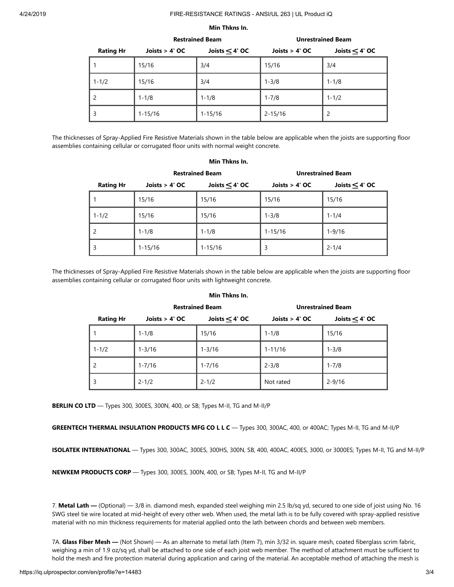#### 4/24/2019 FIRE-RESISTANCE RATINGS - ANSI/UL 263 | UL Product iQ

#### **Min Thkns In.**

|                  | <b>Restrained Beam</b> |                  | <b>Unrestrained Beam</b> |                  |
|------------------|------------------------|------------------|--------------------------|------------------|
| <b>Rating Hr</b> | Joists $> 4'$ OC       | Joists $<$ 4' OC | Joists $> 4'$ OC         | Joists $<$ 4' OC |
|                  | 15/16                  | 3/4              | 15/16                    | 3/4              |
| $1 - 1/2$        | 15/16                  | 3/4              | $1 - 3/8$                | $1 - 1/8$        |
|                  | $1 - 1/8$              | $1 - 1/8$        | $1 - 7/8$                | $1 - 1/2$        |
| 3                | $1 - 15/16$            | $1 - 15/16$      | $2 - 15/16$              | 2                |

The thicknesses of Spray-Applied Fire Resistive Materials shown in the table below are applicable when the joists are supporting floor assemblies containing cellular or corrugated floor units with normal weight concrete.

**Min Thkns In.**

|                  | <b>Restrained Beam</b> |                  | <b>Unrestrained Beam</b> |                  |
|------------------|------------------------|------------------|--------------------------|------------------|
| <b>Rating Hr</b> | Joists $> 4'$ OC       | Joists $<$ 4' OC | Joists $> 4'$ OC         | Joists $<$ 4' OC |
|                  | 15/16                  | 15/16            | 15/16                    | 15/16            |
| $1 - 1/2$        | 15/16                  | 15/16            | $1 - 3/8$                | $1 - 1/4$        |
|                  | $1 - 1/8$              | $1 - 1/8$        | $1 - 15/16$              | $1 - 9/16$       |
| 3                | $1 - 15/16$            | $1 - 15/16$      | 3                        | $2 - 1/4$        |

The thicknesses of Spray-Applied Fire Resistive Materials shown in the table below are applicable when the joists are supporting floor assemblies containing cellular or corrugated floor units with lightweight concrete.

|                  | <b>Restrained Beam</b> |                  | <b>Unrestrained Beam</b> |                  |
|------------------|------------------------|------------------|--------------------------|------------------|
| <b>Rating Hr</b> | Joists $> 4'$ OC       | Joists $<$ 4' OC | Joists $> 4'$ OC         | Joists $<$ 4' OC |
|                  | $1 - 1/8$              | 15/16            | $1 - 1/8$                | 15/16            |
| $1 - 1/2$        | $1 - 3/16$             | $1 - 3/16$       | $1 - 11/16$              | $1 - 3/8$        |
| 2                | $1 - 7/16$             | $1 - 7/16$       | $2 - 3/8$                | $1 - 7/8$        |
| 3                | $2 - 1/2$              | $2 - 1/2$        | Not rated                | $2 - 9/16$       |

#### **Min Thkns In.**

**BERLIN CO LTD** — Types 300, 300ES, 300N, 400, or SB; Types M-II, TG and M-II/P

**GREENTECH THERMAL INSULATION PRODUCTS MFG CO L L C** — Types 300, 300AC, 400, or 400AC; Types M-II, TG and M-II/P

**ISOLATEK INTERNATIONAL** — Types 300, 300AC, 300ES, 300HS, 300N, SB, 400, 400AC, 400ES, 3000, or 3000ES; Types M-II, TG and M-II/P

**NEWKEM PRODUCTS CORP** — Types 300, 300ES, 300N, 400, or SB; Types M-II, TG and M-II/P

7. **Metal Lath —** (Optional) — 3/8 in. diamond mesh, expanded steel weighing min 2.5 lb/sq yd, secured to one side of joist using No. 16 SWG steel tie wire located at mid-height of every other web. When used, the metal lath is to be fully covered with spray-applied resistive material with no min thickness requirements for material applied onto the lath between chords and between web members.

7A. **Glass Fiber Mesh —** (Not Shown) — As an alternate to metal lath (Item 7), min 3/32 in. square mesh, coated fiberglass scrim fabric, weighing a min of 1.9 oz/sq yd, shall be attached to one side of each joist web member. The method of attachment must be sufficient to hold the mesh and fire protection material during application and caring of the material. An acceptable method of attaching the mesh is